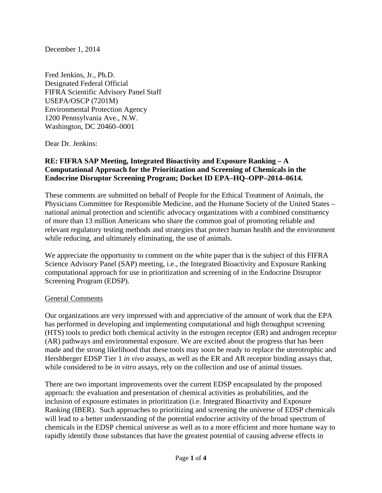December 1, 2014

Fred Jenkins, Jr., Ph.D. Designated Federal Official FIFRA Scientific Advisory Panel Staff USEPA/OSCP (7201M) Environmental Protection Agency 1200 Pennsylvania Ave., N.W. Washington, DC 20460–0001

Dear Dr. Jenkins:

## **RE: FIFRA SAP Meeting, Integrated Bioactivity and Exposure Ranking – A Computational Approach for the Prioritization and Screening of Chemicals in the Endocrine Disruptor Screening Program; Docket ID EPA–HQ–OPP–2014–0614.**

These comments are submitted on behalf of People for the Ethical Treatment of Animals, the Physicians Committee for Responsible Medicine, and the Humane Society of the United States – national animal protection and scientific advocacy organizations with a combined constituency of more than 13 million Americans who share the common goal of promoting reliable and relevant regulatory testing methods and strategies that protect human health and the environment while reducing, and ultimately eliminating, the use of animals.

We appreciate the opportunity to comment on the white paper that is the subject of this FIFRA Science Advisory Panel (SAP) meeting, i.e., the Integrated Bioactivity and Exposure Ranking computational approach for use in prioritization and screening of in the Endocrine Disruptor Screening Program (EDSP).

## General Comments

Our organizations are very impressed with and appreciative of the amount of work that the EPA has performed in developing and implementing computational and high throughput screening (HTS) tools to predict both chemical activity in the estrogen receptor (ER) and androgen receptor (AR) pathways and environmental exposure. We are excited about the progress that has been made and the strong likelihood that these tools may soon be ready to replace the uterotrophic and Hershberger EDSP Tier 1 *in vivo* assays, as well as the ER and AR receptor binding assays that, while considered to be *in vitro* assays, rely on the collection and use of animal tissues.

There are two important improvements over the current EDSP encapsulated by the proposed approach: the evaluation and presentation of chemical activities as probabilities, and the inclusion of exposure estimates in prioritization (i.e. Integrated Bioactivity and Exposure Ranking (IBER). Such approaches to prioritizing and screening the universe of EDSP chemicals will lead to a better understanding of the potential endocrine activity of the broad spectrum of chemicals in the EDSP chemical universe as well as to a more efficient and more humane way to rapidly identify those substances that have the greatest potential of causing adverse effects in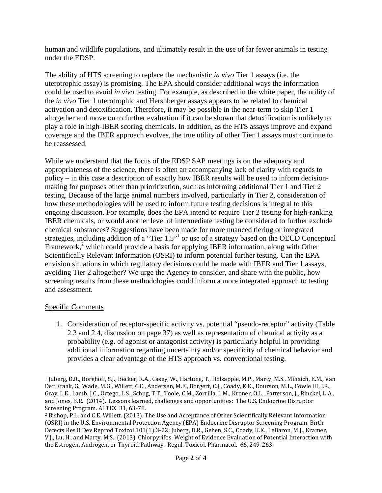human and wildlife populations, and ultimately result in the use of far fewer animals in testing under the EDSP.

The ability of HTS screening to replace the mechanistic *in vivo* Tier 1 assays (i.e. the uterotrophic assay) is promising. The EPA should consider additional ways the information could be used to avoid *in vivo* testing. For example, as described in the white paper, the utility of the *in vivo* Tier 1 uterotrophic and Hershberger assays appears to be related to chemical activation and detoxification. Therefore, it may be possible in the near-term to skip Tier 1 altogether and move on to further evaluation if it can be shown that detoxification is unlikely to play a role in high-IBER scoring chemicals. In addition, as the HTS assays improve and expand coverage and the IBER approach evolves, the true utility of other Tier 1 assays must continue to be reassessed.

While we understand that the focus of the EDSP SAP meetings is on the adequacy and appropriateness of the science, there is often an accompanying lack of clarity with regards to policy – in this case a description of exactly how IBER results will be used to inform decisionmaking for purposes other than prioritization, such as informing additional Tier 1 and Tier 2 testing. Because of the large animal numbers involved, particularly in Tier 2, consideration of how these methodologies will be used to inform future testing decisions is integral to this ongoing discussion. For example, does the EPA intend to require Tier 2 testing for high-ranking IBER chemicals, or would another level of intermediate testing be considered to further exclude chemical substances? Suggestions have been made for more nuanced tiering or integrated strategies, including addition of a "Tier  $1.5$ " or use of a strategy based on the OECD Conceptual Framework,<sup>2</sup> which could provide a basis for applying IBER information, along with Other Scientifically Relevant Information (OSRI) to inform potential further testing. Can the EPA envision situations in which regulatory decisions could be made with IBER and Tier 1 assays, avoiding Tier 2 altogether? We urge the Agency to consider, and share with the public, how screening results from these methodologies could inform a more integrated approach to testing and assessment.

## Specific Comments

 

1. Consideration of receptor-specific activity vs. potential "pseudo-receptor" activity (Table 2.3 and 2.4, discussion on page 37) as well as representation of chemical activity as a probability (e.g. of agonist or antagonist activity) is particularly helpful in providing additional information regarding uncertainty and/or specificity of chemical behavior and provides a clear advantage of the HTS approach vs. conventional testing.

<sup>&</sup>lt;sup>1</sup> Juberg, D.R., Borghoff, S.J., Becker, R.A., Casey, W., Hartung, T., Holsapple, M.P., Marty, M.S., Mihaich, E.M., Van Der Kraak, G., Wade, M.G., Willett, C.E., Andersen, M.E., Borgert, C.J., Coady, K.K., Dourson, M.L., Fowle III, J.R., Gray, L.E., Lamb, J.C., Ortego, L.S., Schug, T.T., Toole, C.M., Zorrilla, L.M., Kroner, O.L., Patterson, J., Rinckel, L.A., and Jones, B.R. (2014). Lessons learned, challenges and opportunities: The U.S. Endocrine Disruptor Screening Program. ALTEX 31, 63-78.

<sup>&</sup>lt;sup>2</sup> Bishop, P.L. and C.E. Willett. (2013). The Use and Acceptance of Other Scientifically Relevant Information (OSRI) in the U.S. Environmental Protection Agency (EPA) Endocrine Disruptor Screening Program. Birth Defects Res B Dev Reprod Toxicol.101(1):3-22; Juberg, D.R., Gehen, S.C., Coady, K.K., LeBaron, M.J., Kramer, V.J., Lu, H., and Marty, M.S. (2013). Chlorpyrifos: Weight of Evidence Evaluation of Potential Interaction with the Estrogen, Androgen, or Thyroid Pathway. Regul. Toxicol. Pharmacol. 66, 249-263.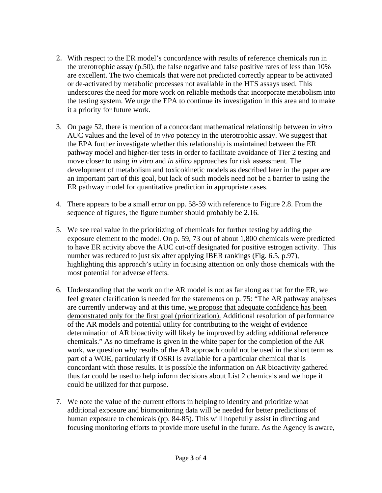- 2. With respect to the ER model's concordance with results of reference chemicals run in the uterotrophic assay  $(p.50)$ , the false negative and false positive rates of less than  $10\%$ are excellent. The two chemicals that were not predicted correctly appear to be activated or de-activated by metabolic processes not available in the HTS assays used. This underscores the need for more work on reliable methods that incorporate metabolism into the testing system. We urge the EPA to continue its investigation in this area and to make it a priority for future work.
- 3. On page 52, there is mention of a concordant mathematical relationship between *in vitro* AUC values and the level of *in vivo* potency in the uterotrophic assay. We suggest that the EPA further investigate whether this relationship is maintained between the ER pathway model and higher-tier tests in order to facilitate avoidance of Tier 2 testing and move closer to using *in vitro* and *in silico* approaches for risk assessment. The development of metabolism and toxicokinetic models as described later in the paper are an important part of this goal, but lack of such models need not be a barrier to using the ER pathway model for quantitative prediction in appropriate cases.
- 4. There appears to be a small error on pp. 58-59 with reference to Figure 2.8. From the sequence of figures, the figure number should probably be 2.16.
- 5. We see real value in the prioritizing of chemicals for further testing by adding the exposure element to the model. On p. 59, 73 out of about 1,800 chemicals were predicted to have ER activity above the AUC cut-off designated for positive estrogen activity. This number was reduced to just six after applying IBER rankings (Fig. 6.5, p.97), highlighting this approach's utility in focusing attention on only those chemicals with the most potential for adverse effects.
- 6. Understanding that the work on the AR model is not as far along as that for the ER, we feel greater clarification is needed for the statements on p. 75: "The AR pathway analyses are currently underway and at this time, we propose that adequate confidence has been demonstrated only for the first goal (prioritization). Additional resolution of performance of the AR models and potential utility for contributing to the weight of evidence determination of AR bioactivity will likely be improved by adding additional reference chemicals." As no timeframe is given in the white paper for the completion of the AR work, we question why results of the AR approach could not be used in the short term as part of a WOE, particularly if OSRI is available for a particular chemical that is concordant with those results. It is possible the information on AR bioactivity gathered thus far could be used to help inform decisions about List 2 chemicals and we hope it could be utilized for that purpose.
- 7. We note the value of the current efforts in helping to identify and prioritize what additional exposure and biomonitoring data will be needed for better predictions of human exposure to chemicals (pp. 84-85). This will hopefully assist in directing and focusing monitoring efforts to provide more useful in the future. As the Agency is aware,